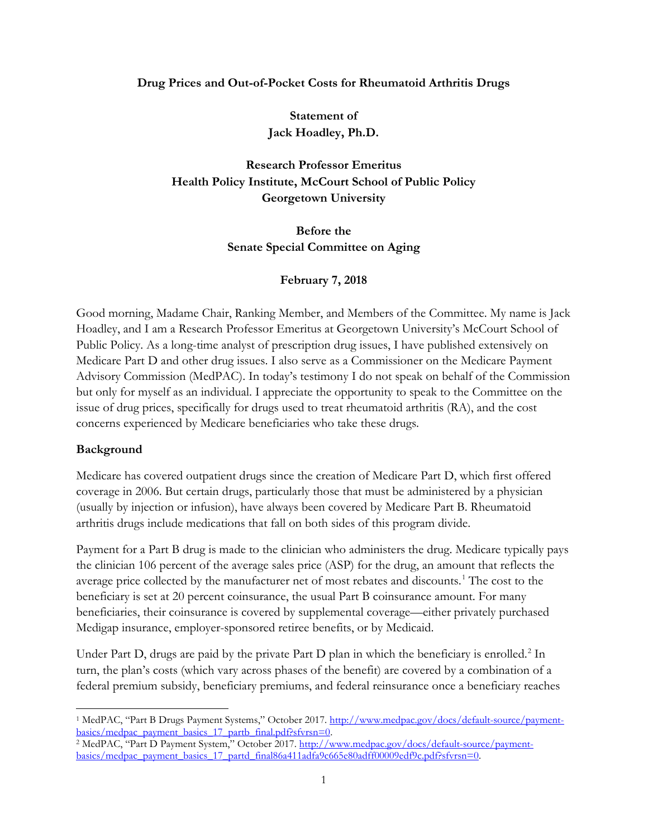#### **Drug Prices and Out-of-Pocket Costs for Rheumatoid Arthritis Drugs**

**Statement of Jack Hoadley, Ph.D.**

**Research Professor Emeritus Health Policy Institute, McCourt School of Public Policy Georgetown University**

> **Before the Senate Special Committee on Aging**

### **February 7, 2018**

Good morning, Madame Chair, Ranking Member, and Members of the Committee. My name is Jack Hoadley, and I am a Research Professor Emeritus at Georgetown University's McCourt School of Public Policy. As a long-time analyst of prescription drug issues, I have published extensively on Medicare Part D and other drug issues. I also serve as a Commissioner on the Medicare Payment Advisory Commission (MedPAC). In today's testimony I do not speak on behalf of the Commission but only for myself as an individual. I appreciate the opportunity to speak to the Committee on the issue of drug prices, specifically for drugs used to treat rheumatoid arthritis (RA), and the cost concerns experienced by Medicare beneficiaries who take these drugs.

### **Background**

Medicare has covered outpatient drugs since the creation of Medicare Part D, which first offered coverage in 2006. But certain drugs, particularly those that must be administered by a physician (usually by injection or infusion), have always been covered by Medicare Part B. Rheumatoid arthritis drugs include medications that fall on both sides of this program divide.

Payment for a Part B drug is made to the clinician who administers the drug. Medicare typically pays the clinician 106 percent of the average sales price (ASP) for the drug, an amount that reflects the average price collected by the manufacturer net of most rebates and discounts.<sup>[1](#page-0-0)</sup> The cost to the beneficiary is set at 20 percent coinsurance, the usual Part B coinsurance amount. For many beneficiaries, their coinsurance is covered by supplemental coverage—either privately purchased Medigap insurance, employer-sponsored retiree benefits, or by Medicaid.

Under Part D, drugs are paid by the private Part D plan in which the beneficiary is enrolled.<sup>[2](#page-0-1)</sup> In turn, the plan's costs (which vary across phases of the benefit) are covered by a combination of a federal premium subsidy, beneficiary premiums, and federal reinsurance once a beneficiary reaches

<span id="page-0-0"></span><sup>&</sup>lt;sup>1</sup> MedPAC, "Part B Drugs Payment Systems," October 2017[. http://www.medpac.gov/docs/default-source/payment](http://www.medpac.gov/docs/default-source/payment-basics/medpac_payment_basics_17_partb_final.pdf?sfvrsn=0)[basics/medpac\\_payment\\_basics\\_17\\_partb\\_final.pdf?sfvrsn=0.](http://www.medpac.gov/docs/default-source/payment-basics/medpac_payment_basics_17_partb_final.pdf?sfvrsn=0)

<span id="page-0-1"></span><sup>&</sup>lt;sup>2</sup> MedPAC, "Part D Payment System," October 2017. [http://www.medpac.gov/docs/default-source/payment](http://www.medpac.gov/docs/default-source/payment-basics/medpac_payment_basics_17_partd_final86a411adfa9c665e80adff00009edf9c.pdf?sfvrsn=0)[basics/medpac\\_payment\\_basics\\_17\\_partd\\_final86a411adfa9c665e80adff00009edf9c.pdf?sfvrsn=0.](http://www.medpac.gov/docs/default-source/payment-basics/medpac_payment_basics_17_partd_final86a411adfa9c665e80adff00009edf9c.pdf?sfvrsn=0)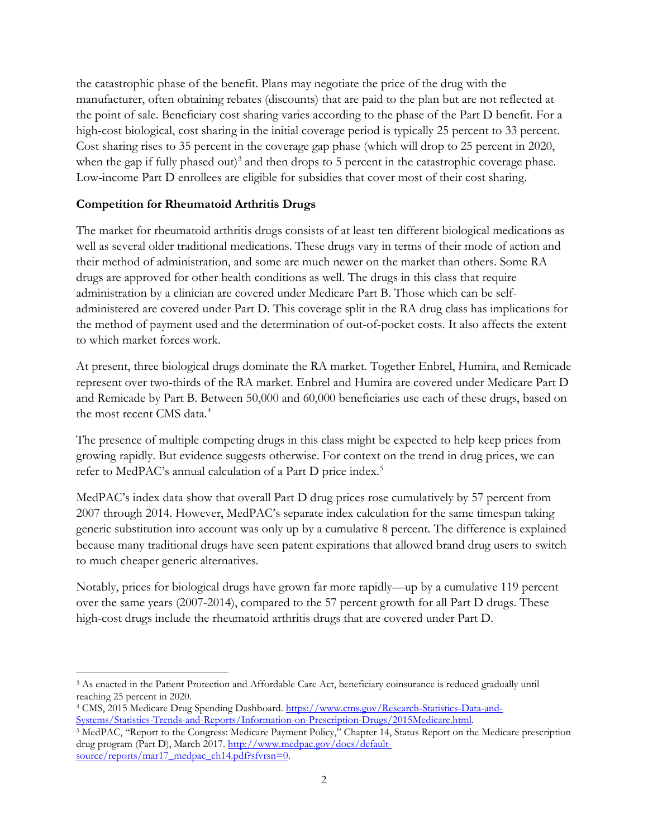the catastrophic phase of the benefit. Plans may negotiate the price of the drug with the manufacturer, often obtaining rebates (discounts) that are paid to the plan but are not reflected at the point of sale. Beneficiary cost sharing varies according to the phase of the Part D benefit. For a high-cost biological, cost sharing in the initial coverage period is typically 25 percent to 33 percent. Cost sharing rises to 35 percent in the coverage gap phase (which will drop to 25 percent in 2020, when the gap if fully phased out)<sup>[3](#page-1-0)</sup> and then drops to 5 percent in the catastrophic coverage phase. Low-income Part D enrollees are eligible for subsidies that cover most of their cost sharing.

# **Competition for Rheumatoid Arthritis Drugs**

The market for rheumatoid arthritis drugs consists of at least ten different biological medications as well as several older traditional medications. These drugs vary in terms of their mode of action and their method of administration, and some are much newer on the market than others. Some RA drugs are approved for other health conditions as well. The drugs in this class that require administration by a clinician are covered under Medicare Part B. Those which can be selfadministered are covered under Part D. This coverage split in the RA drug class has implications for the method of payment used and the determination of out-of-pocket costs. It also affects the extent to which market forces work.

At present, three biological drugs dominate the RA market. Together Enbrel, Humira, and Remicade represent over two-thirds of the RA market. Enbrel and Humira are covered under Medicare Part D and Remicade by Part B. Between 50,000 and 60,000 beneficiaries use each of these drugs, based on the most recent CMS data.<sup>[4](#page-1-1)</sup>

The presence of multiple competing drugs in this class might be expected to help keep prices from growing rapidly. But evidence suggests otherwise. For context on the trend in drug prices, we can refer to MedPAC's annual calculation of a Part D price index.<sup>[5](#page-1-2)</sup>

MedPAC's index data show that overall Part D drug prices rose cumulatively by 57 percent from 2007 through 2014. However, MedPAC's separate index calculation for the same timespan taking generic substitution into account was only up by a cumulative 8 percent. The difference is explained because many traditional drugs have seen patent expirations that allowed brand drug users to switch to much cheaper generic alternatives.

Notably, prices for biological drugs have grown far more rapidly—up by a cumulative 119 percent over the same years (2007-2014), compared to the 57 percent growth for all Part D drugs. These high-cost drugs include the rheumatoid arthritis drugs that are covered under Part D.

<span id="page-1-0"></span> <sup>3</sup> As enacted in the Patient Protection and Affordable Care Act, beneficiary coinsurance is reduced gradually until reaching 25 percent in 2020.

<span id="page-1-1"></span><sup>4</sup> CMS, 2015 Medicare Drug Spending Dashboard. [https://www.cms.gov/Research-Statistics-Data-and-](https://www.cms.gov/Research-Statistics-Data-and-Systems/Statistics-Trends-and-Reports/Information-on-Prescription-Drugs/2015Medicare.html)[Systems/Statistics-Trends-and-Reports/Information-on-Prescription-Drugs/2015Medicare.html.](https://www.cms.gov/Research-Statistics-Data-and-Systems/Statistics-Trends-and-Reports/Information-on-Prescription-Drugs/2015Medicare.html)

<span id="page-1-2"></span><sup>5</sup> MedPAC, "Report to the Congress: Medicare Payment Policy," Chapter 14, Status Report on the Medicare prescription drug program (Part D), March 2017. [http://www.medpac.gov/docs/default](http://www.medpac.gov/docs/default-source/reports/mar17_medpac_ch14.pdf?sfvrsn=0)[source/reports/mar17\\_medpac\\_ch14.pdf?sfvrsn=0.](http://www.medpac.gov/docs/default-source/reports/mar17_medpac_ch14.pdf?sfvrsn=0)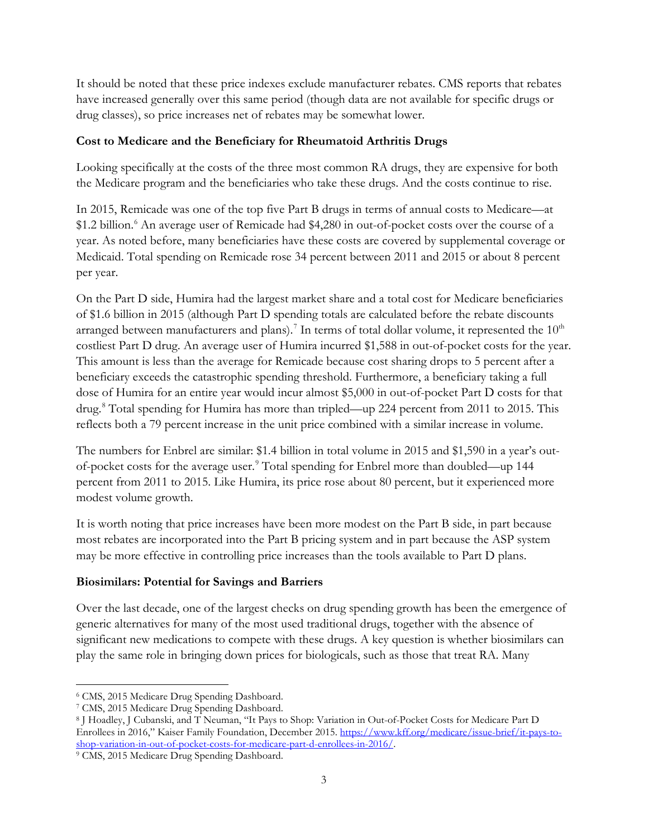It should be noted that these price indexes exclude manufacturer rebates. CMS reports that rebates have increased generally over this same period (though data are not available for specific drugs or drug classes), so price increases net of rebates may be somewhat lower.

## **Cost to Medicare and the Beneficiary for Rheumatoid Arthritis Drugs**

Looking specifically at the costs of the three most common RA drugs, they are expensive for both the Medicare program and the beneficiaries who take these drugs. And the costs continue to rise.

In 2015, Remicade was one of the top five Part B drugs in terms of annual costs to Medicare—at \$1.2 billion. [6](#page-2-0) An average user of Remicade had \$4,280 in out-of-pocket costs over the course of a year. As noted before, many beneficiaries have these costs are covered by supplemental coverage or Medicaid. Total spending on Remicade rose 34 percent between 2011 and 2015 or about 8 percent per year.

On the Part D side, Humira had the largest market share and a total cost for Medicare beneficiaries of \$1.6 billion in 2015 (although Part D spending totals are calculated before the rebate discounts arranged between manufacturers and plans).<sup>[7](#page-2-1)</sup> In terms of total dollar volume, it represented the  $10^{\text{th}}$ costliest Part D drug. An average user of Humira incurred \$1,588 in out-of-pocket costs for the year. This amount is less than the average for Remicade because cost sharing drops to 5 percent after a beneficiary exceeds the catastrophic spending threshold. Furthermore, a beneficiary taking a full dose of Humira for an entire year would incur almost \$5,000 in out-of-pocket Part D costs for that drug.<sup>[8](#page-2-2)</sup> Total spending for Humira has more than tripled—up 224 percent from 2011 to 2015. This reflects both a 79 percent increase in the unit price combined with a similar increase in volume.

The numbers for Enbrel are similar: \$1.4 billion in total volume in 2015 and \$1,590 in a year's out-of-pocket costs for the average user.<sup>[9](#page-2-3)</sup> Total spending for Enbrel more than doubled—up 144 percent from 2011 to 2015. Like Humira, its price rose about 80 percent, but it experienced more modest volume growth.

It is worth noting that price increases have been more modest on the Part B side, in part because most rebates are incorporated into the Part B pricing system and in part because the ASP system may be more effective in controlling price increases than the tools available to Part D plans.

# **Biosimilars: Potential for Savings and Barriers**

Over the last decade, one of the largest checks on drug spending growth has been the emergence of generic alternatives for many of the most used traditional drugs, together with the absence of significant new medications to compete with these drugs. A key question is whether biosimilars can play the same role in bringing down prices for biologicals, such as those that treat RA. Many

<span id="page-2-0"></span> <sup>6</sup> CMS, 2015 Medicare Drug Spending Dashboard.

<span id="page-2-1"></span><sup>7</sup> CMS, 2015 Medicare Drug Spending Dashboard.

<span id="page-2-2"></span><sup>8</sup> J Hoadley, J Cubanski, and T Neuman, "It Pays to Shop: Variation in Out-of-Pocket Costs for Medicare Part D Enrollees in 2016," Kaiser Family Foundation, December 2015. [https://www.kff.org/medicare/issue-brief/it-pays-to](https://www.kff.org/medicare/issue-brief/it-pays-to-shop-variation-in-out-of-pocket-costs-for-medicare-part-d-enrollees-in-2016/)[shop-variation-in-out-of-pocket-costs-for-medicare-part-d-enrollees-in-2016/.](https://www.kff.org/medicare/issue-brief/it-pays-to-shop-variation-in-out-of-pocket-costs-for-medicare-part-d-enrollees-in-2016/)

<span id="page-2-3"></span><sup>9</sup> CMS, 2015 Medicare Drug Spending Dashboard.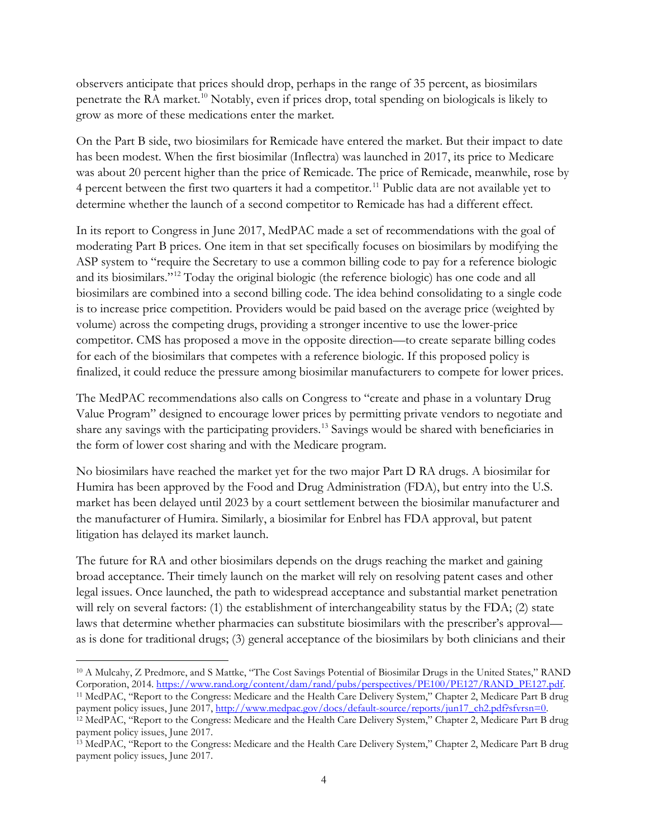observers anticipate that prices should drop, perhaps in the range of 35 percent, as biosimilars penetrate the RA market.<sup>[10](#page-3-0)</sup> Notably, even if prices drop, total spending on biologicals is likely to grow as more of these medications enter the market.

On the Part B side, two biosimilars for Remicade have entered the market. But their impact to date has been modest. When the first biosimilar (Inflectra) was launched in 2017, its price to Medicare was about 20 percent higher than the price of Remicade. The price of Remicade, meanwhile, rose by 4 percent between the first two quarters it had a competitor.<sup>[11](#page-3-1)</sup> Public data are not available yet to determine whether the launch of a second competitor to Remicade has had a different effect.

In its report to Congress in June 2017, MedPAC made a set of recommendations with the goal of moderating Part B prices. One item in that set specifically focuses on biosimilars by modifying the ASP system to "require the Secretary to use a common billing code to pay for a reference biologic and its biosimilars."[12](#page-3-2) Today the original biologic (the reference biologic) has one code and all biosimilars are combined into a second billing code. The idea behind consolidating to a single code is to increase price competition. Providers would be paid based on the average price (weighted by volume) across the competing drugs, providing a stronger incentive to use the lower-price competitor. CMS has proposed a move in the opposite direction—to create separate billing codes for each of the biosimilars that competes with a reference biologic. If this proposed policy is finalized, it could reduce the pressure among biosimilar manufacturers to compete for lower prices.

The MedPAC recommendations also calls on Congress to "create and phase in a voluntary Drug Value Program" designed to encourage lower prices by permitting private vendors to negotiate and share any savings with the participating providers.[13](#page-3-3) Savings would be shared with beneficiaries in the form of lower cost sharing and with the Medicare program.

No biosimilars have reached the market yet for the two major Part D RA drugs. A biosimilar for Humira has been approved by the Food and Drug Administration (FDA), but entry into the U.S. market has been delayed until 2023 by a court settlement between the biosimilar manufacturer and the manufacturer of Humira. Similarly, a biosimilar for Enbrel has FDA approval, but patent litigation has delayed its market launch.

The future for RA and other biosimilars depends on the drugs reaching the market and gaining broad acceptance. Their timely launch on the market will rely on resolving patent cases and other legal issues. Once launched, the path to widespread acceptance and substantial market penetration will rely on several factors: (1) the establishment of interchangeability status by the FDA; (2) state laws that determine whether pharmacies can substitute biosimilars with the prescriber's approval as is done for traditional drugs; (3) general acceptance of the biosimilars by both clinicians and their

<span id="page-3-0"></span> <sup>10</sup> A Mulcahy, Z Predmore, and S Mattke, "The Cost Savings Potential of Biosimilar Drugs in the United States," RAND Corporation, 2014. [https://www.rand.org/content/dam/rand/pubs/perspectives/PE100/PE127/RAND\\_PE127.pdf.](https://www.rand.org/content/dam/rand/pubs/perspectives/PE100/PE127/RAND_PE127.pdf) 11 MedPAC, "Report to the Congress: Medicare and the Health Care Delivery System," Chapter 2, Medicare Part B drug

<span id="page-3-2"></span><span id="page-3-1"></span>payment policy issues, June 2017, [http://www.medpac.gov/docs/default-source/reports/jun17\\_ch2.pdf?sfvrsn=0.](http://www.medpac.gov/docs/default-source/reports/jun17_ch2.pdf?sfvrsn=0) <sup>12</sup> MedPAC, "Report to the Congress: Medicare and the Health Care Delivery System," Chapter 2, Medicare Part B drug

payment policy issues, June 2017. <sup>13</sup> MedPAC, "Report to the Congress: Medicare and the Health Care Delivery System," Chapter 2, Medicare Part B drug

<span id="page-3-3"></span>payment policy issues, June 2017.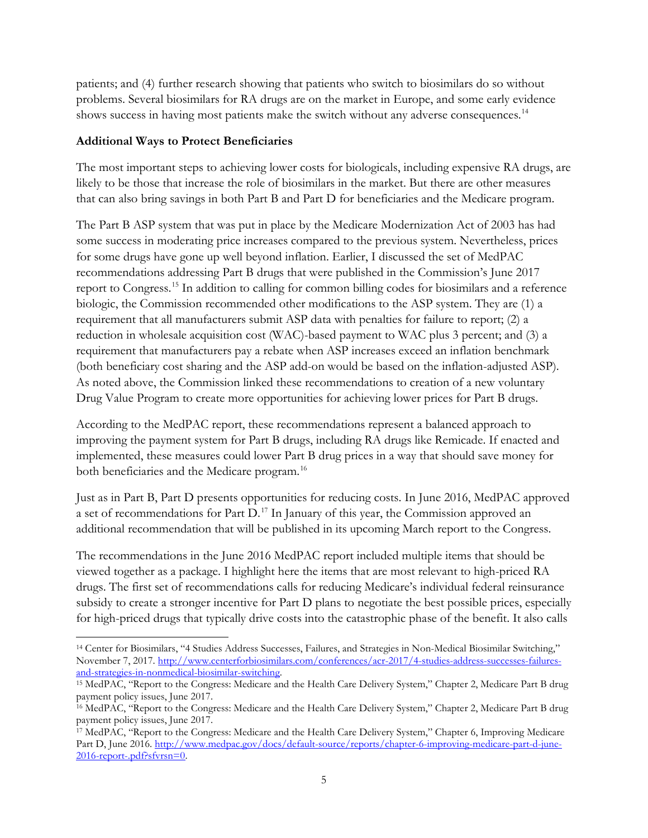patients; and (4) further research showing that patients who switch to biosimilars do so without problems. Several biosimilars for RA drugs are on the market in Europe, and some early evidence shows success in having most patients make the switch without any adverse consequences.<sup>[14](#page-4-0)</sup>

### **Additional Ways to Protect Beneficiaries**

The most important steps to achieving lower costs for biologicals, including expensive RA drugs, are likely to be those that increase the role of biosimilars in the market. But there are other measures that can also bring savings in both Part B and Part D for beneficiaries and the Medicare program.

The Part B ASP system that was put in place by the Medicare Modernization Act of 2003 has had some success in moderating price increases compared to the previous system. Nevertheless, prices for some drugs have gone up well beyond inflation. Earlier, I discussed the set of MedPAC recommendations addressing Part B drugs that were published in the Commission's June 2017 report to Congress.[15](#page-4-1) In addition to calling for common billing codes for biosimilars and a reference biologic, the Commission recommended other modifications to the ASP system. They are (1) a requirement that all manufacturers submit ASP data with penalties for failure to report; (2) a reduction in wholesale acquisition cost (WAC)-based payment to WAC plus 3 percent; and (3) a requirement that manufacturers pay a rebate when ASP increases exceed an inflation benchmark (both beneficiary cost sharing and the ASP add-on would be based on the inflation-adjusted ASP). As noted above, the Commission linked these recommendations to creation of a new voluntary Drug Value Program to create more opportunities for achieving lower prices for Part B drugs.

According to the MedPAC report, these recommendations represent a balanced approach to improving the payment system for Part B drugs, including RA drugs like Remicade. If enacted and implemented, these measures could lower Part B drug prices in a way that should save money for both beneficiaries and the Medicare program.<sup>[16](#page-4-2)</sup>

Just as in Part B, Part D presents opportunities for reducing costs. In June 2016, MedPAC approved a set of recommendations for Part D.<sup>[17](#page-4-3)</sup> In January of this year, the Commission approved an additional recommendation that will be published in its upcoming March report to the Congress.

The recommendations in the June 2016 MedPAC report included multiple items that should be viewed together as a package. I highlight here the items that are most relevant to high-priced RA drugs. The first set of recommendations calls for reducing Medicare's individual federal reinsurance subsidy to create a stronger incentive for Part D plans to negotiate the best possible prices, especially for high-priced drugs that typically drive costs into the catastrophic phase of the benefit. It also calls

<span id="page-4-0"></span> <sup>14</sup> Center for Biosimilars, "4 Studies Address Successes, Failures, and Strategies in Non-Medical Biosimilar Switching," November 7, 2017. [http://www.centerforbiosimilars.com/conferences/acr-2017/4-studies-address-successes-failures](http://www.centerforbiosimilars.com/conferences/acr-2017/4-studies-address-successes-failures-and-strategies-in-nonmedical-biosimilar-switching)[and-strategies-in-nonmedical-biosimilar-switching.](http://www.centerforbiosimilars.com/conferences/acr-2017/4-studies-address-successes-failures-and-strategies-in-nonmedical-biosimilar-switching) 15 MedPAC, "Report to the Congress: Medicare and the Health Care Delivery System," Chapter 2, Medicare Part B drug

<span id="page-4-1"></span>payment policy issues, June 2017.

<span id="page-4-2"></span><sup>&</sup>lt;sup>16</sup> MedPAC, "Report to the Congress: Medicare and the Health Care Delivery System," Chapter 2, Medicare Part B drug payment policy issues, June 2017.

<span id="page-4-3"></span><sup>17</sup> MedPAC, "Report to the Congress: Medicare and the Health Care Delivery System," Chapter 6, Improving Medicare Part D, June 2016. [http://www.medpac.gov/docs/default-source/reports/chapter-6-improving-medicare-part-d-june-](http://www.medpac.gov/docs/default-source/reports/chapter-6-improving-medicare-part-d-june-2016-report-.pdf?sfvrsn=0)[2016-report-.pdf?sfvrsn=0.](http://www.medpac.gov/docs/default-source/reports/chapter-6-improving-medicare-part-d-june-2016-report-.pdf?sfvrsn=0)